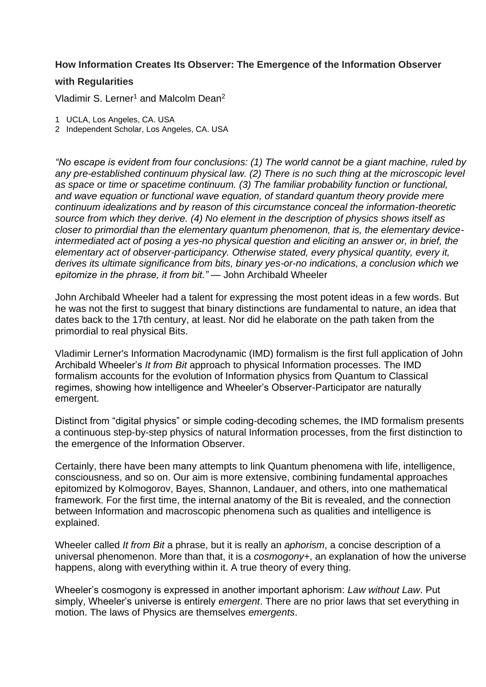## **How Information Creates Its Observer: The Emergence of the Information Observer**

## **with Regularities**

Vladimir S. Lerner<sup>1</sup> and Malcolm Dean<sup>2</sup>

- 1 UCLA, Los Angeles, CA. USA
- 2 Independent Scholar, Los Angeles, CA. USA

*"No escape is evident from four conclusions: (1) The world cannot be a giant machine, ruled by any pre-established continuum physical law. (2) There is no such thing at the microscopic level as space or time or spacetime continuum. (3) The familiar probability function or functional, and wave equation or functional wave equation, of standard quantum theory provide mere continuum idealizations and by reason of this circumstance conceal the information-theoretic source from which they derive. (4) No element in the description of physics shows itself as closer to primordial than the elementary quantum phenomenon, that is, the elementary deviceintermediated act of posing a yes-no physical question and eliciting an answer or, in brief, the elementary act of observer-participancy. Otherwise stated, every physical quantity, every it, derives its ultimate significance from bits, binary yes-or-no indications, a conclusion which we epitomize in the phrase, it from bit."* — John Archibald Wheeler

John Archibald Wheeler had a talent for expressing the most potent ideas in a few words. But he was not the first to suggest that binary distinctions are fundamental to nature, an idea that dates back to the 17th century, at least. Nor did he elaborate on the path taken from the primordial to real physical Bits.

Vladimir Lerner's Information Macrodynamic (IMD) formalism is the first full application of John Archibald Wheeler's *It from Bit* approach to physical Information processes. The IMD formalism accounts for the evolution of Information physics from Quantum to Classical regimes, showing how intelligence and Wheeler's Observer-Participator are naturally emergent.

Distinct from "digital physics" or simple coding-decoding schemes, the IMD formalism presents a continuous step-by-step physics of natural Information processes, from the first distinction to the emergence of the Information Observer.

Certainly, there have been many attempts to link Quantum phenomena with life, intelligence, consciousness, and so on. Our aim is more extensive, combining fundamental approaches epitomized by Kolmogorov, Bayes, Shannon, Landauer, and others, into one mathematical framework. For the first time, the internal anatomy of the Bit is revealed, and the connection between Information and macroscopic phenomena such as qualities and intelligence is explained.

Wheeler called *It from Bit* a phrase, but it is really an *aphorism*, a concise description of a universal phenomenon. More than that, it is a *cosmogony+*, an explanation of how the universe happens, along with everything within it. A true theory of every thing.

Wheeler's cosmogony is expressed in another important aphorism: *Law without Law*. Put simply, Wheeler's universe is entirely *emergent*. There are no prior laws that set everything in motion. The laws of Physics are themselves *emergents*.